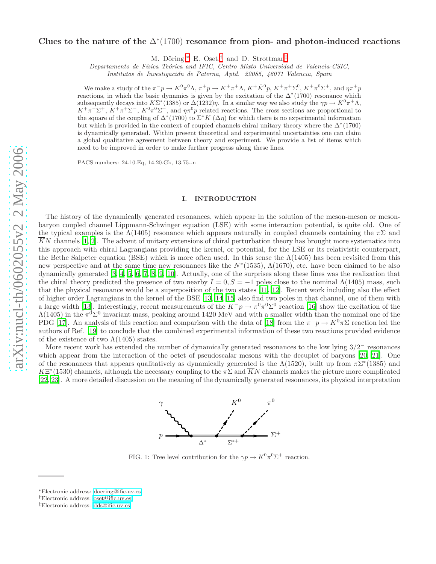# Clues to the nature of the  $\Delta^*(1700)$  resonance from pion- and photon-induced reactions

M. Döring,\* E. Oset,<sup>[†](#page-0-1)</sup> and D. Strottman<sup>[‡](#page-0-2)</sup>

Departamento de Física Teórica and IFIC, Centro Mixto Universidad de Valencia-CSIC,

Institutos de Investigación de Paterna, Aptd. 22085, 46071 Valencia, Spain

We make a study of the  $\pi^- p \to K^0 \pi^0 \Lambda$ ,  $\pi^+ p \to K^+ \pi^+ \Lambda$ ,  $K^+ \bar{K}^0 p$ ,  $K^+ \pi^+ \Sigma^0$ ,  $K^+ \pi^0 \Sigma^+$ , and  $\eta \pi^+ p$ reactions, in which the basic dynamics is given by the excitation of the  $\Delta^*(1700)$  resonance which subsequently decays into  $K\Sigma^*(1385)$  or  $\Delta(1232)\eta$ . In a similar way we also study the  $\gamma p \to K^0 \pi^+ \Lambda$ ,  $K^+\pi^-\Sigma^+, K^+\pi^+\Sigma^-, K^0\pi^0\Sigma^+,$  and  $\eta\pi^0p$  related reactions. The cross sections are proportional to the square of the coupling of  $\Delta^*(1700)$  to  $\Sigma^* K(\Delta \eta)$  for which there is no experimental information but which is provided in the context of coupled channels chiral unitary theory where the  $\Delta^*(1700)$ is dynamically generated. Within present theoretical and experimental uncertainties one can claim a global qualitative agreement between theory and experiment. We provide a list of items which need to be improved in order to make further progress along these lines.

PACS numbers: 24.10.Eq, 14.20.Gk, 13.75.-n

## I. INTRODUCTION

The history of the dynamically generated resonances, which appear in the solution of the meson-meson or mesonbaryon coupled channel Lippmann-Schwinger equation (LSE) with some interaction potential, is quite old. One of the typical examples is the  $\Lambda(1405)$  resonance which appears naturally in coupled channels containing the  $\pi\Sigma$  and  $\overline{K}N$  channels [\[1,](#page-10-0) [2](#page-10-1)]. The advent of unitary extensions of chiral perturbation theory has brought more systematics into this approach with chiral Lagrangians providing the kernel, or potential, for the LSE or its relativistic counterpart, the Bethe Salpeter equation (BSE) which is more often used. In this sense the  $\Lambda(1405)$  has been revisited from this new perspective and at the same time new resonances like the  $N^*(1535)$ ,  $\Lambda(1670)$ , etc. have been claimed to be also dynamically generated [\[3,](#page-10-2) [4,](#page-10-3) [5,](#page-10-4) [6,](#page-10-5) [7,](#page-10-6) [8,](#page-10-7) [9,](#page-10-8) [10\]](#page-10-9). Actually, one of the surprises along these lines was the realization that the chiral theory predicted the presence of two nearby  $I = 0, S = -1$  poles close to the nominal  $\Lambda(1405)$  mass, such that the physical resonance would be a superposition of the two states [\[11](#page-10-10), [12](#page-10-11)]. Recent work including also the effect of higher order Lagrangians in the kernel of the BSE [\[13](#page-10-12), [14,](#page-10-13) [15\]](#page-10-14) also find two poles in that channel, one of them with a large width [\[13\]](#page-10-12). Interestingly, recent measurements of the  $K^-p \to \pi^0 \pi^0 \Sigma^0$  reaction [\[16](#page-10-15)] show the excitation of the  $\Lambda(1405)$  in the  $\pi^{0}\Sigma^{0}$  invariant mass, peaking around 1420 MeV and with a smaller width than the nominal one of the PDG [\[17](#page-10-16)]. An analysis of this reaction and comparison with the data of [\[18\]](#page-10-17) from the  $\pi^- p \to K^0 \pi \Sigma$  reaction led the authors of Ref. [\[19](#page-10-18)] to conclude that the combined experimental information of these two reactions provided evidence of the existence of two  $\Lambda(1405)$  states.

More recent work has extended the number of dynamically generated resonances to the low lying  $3/2^-$  resonances which appear from the interaction of the octet of pseudoscalar mesons with the decuplet of baryons [\[20,](#page-10-19) [21\]](#page-10-20). One of the resonances that appears qualitatively as dynamically generated is the  $\Lambda(1520)$ , built up from  $\pi\Sigma^*(1385)$  and  $K\Xi^*(1530)$  channels, although the necessary coupling to the  $\pi\Sigma$  and  $\overline{K}N$  channels makes the picture more complicated [\[22,](#page-10-21) [23\]](#page-10-22). A more detailed discussion on the meaning of the dynamically generated resonances, its physical interpretation



<span id="page-0-3"></span>FIG. 1: Tree level contribution for the  $\gamma p \to K^0 \pi^0 \Sigma^+$  reaction.

<span id="page-0-0"></span><sup>∗</sup>Electronic address: [doering@ific.uv.es](mailto:doering@ific.uv.es)

<span id="page-0-2"></span><span id="page-0-1"></span><sup>†</sup>Electronic address: [oset@ific.uv.es](mailto:oset@ific.uv.es)

<sup>‡</sup>Electronic address: [dds@ific.uv.es](mailto:dds@ific.uv.es)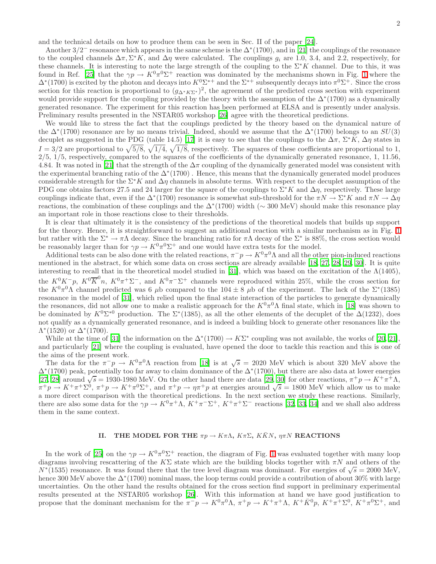and the technical details on how to produce them can be seen in Sec. II of the paper [\[24\]](#page-10-23).

Another  $3/2^-$  resonance which appears in the same scheme is the  $\Delta^*(1700)$ , and in [\[21\]](#page-10-20) the couplings of the resonance to the coupled channels  $\Delta \pi$ ,  $\Sigma^* K$ , and  $\Delta \eta$  were calculated. The couplings  $g_i$  are 1.0, 3.4, and 2.2, respectively, for these channels. It is interesting to note the large strength of the coupling to the  $\Sigma^*K$  channel. Due to this, it was found in Ref. [\[25](#page-10-24)] that the  $\gamma p \to K^0 \pi^0 \Sigma^+$  reaction was dominated by the mechanisms shown in Fig. [1](#page-0-3) where the  $\Delta^*(1700)$  is excited by the photon and decays into  $K^0\Sigma^{*+}$  and the  $\Sigma^{*+}$  subsequently decays into  $\pi^0\Sigma^+$ . Since the cross section for this reaction is proportional to  $(g_{\Delta^*K\Sigma^*})^2$ , the agreement of the predicted cross section with experiment would provide support for the coupling provided by the theory with the assumption of the  $\Delta^*(1700)$  as a dynamically generated resonance. The experiment for this reaction has been performed at ELSA and is presently under analysis. Preliminary results presented in the NSTAR05 workshop [\[26](#page-10-25)] agree with the theoretical predictions.

We would like to stress the fact that the couplings predicted by the theory based on the dynamical nature of the  $\Delta^*(1700)$  resonance are by no means trivial. Indeed, should we assume that the  $\Delta^*(1700)$  belongs to an  $SU(3)$ decuplet as suggested in the PDG (table 14.5) [\[17](#page-10-16)] it is easy to see that the couplings to the  $\Delta \pi$ ,  $\Sigma^* K$ ,  $\Delta \eta$  states in  $I = 3/2$  are proportional to  $\sqrt{5/8}$ ,  $\sqrt{1/4}$ ,  $\sqrt{1/8}$ , respectively. The squares of these coefficients are proportional to 1,  $2/5$ ,  $1/5$ , respectively, compared to the squares of the coefficients of the dynamically generated resonance, 1, 11.56, 4.84. It was noted in [\[21\]](#page-10-20) that the strength of the  $\Delta \pi$  coupling of the dynamically generated model was consistent with the experimental branching ratio of the  $\Delta^*(1700)$ . Hence, this means that the dynamically generated model produces considerable strength for the  $\Sigma^*K$  and  $\Delta\eta$  channels in absolute terms. With respect to the decuplet assumption of the PDG one obtains factors 27.5 and 24 larger for the square of the couplings to  $\Sigma^*K$  and  $\Delta\eta$ , respectively. These large couplings indicate that, even if the  $\Delta^*(1700)$  resonance is somewhat sub-threshold for the  $\pi N \to \Sigma^* K$  and  $\pi N \to \Delta \eta$ reactions, the combination of these couplings and the  $\Delta^*(1700)$  width ( $\sim 300$  MeV) should make this resonance play an important role in those reactions close to their thresholds.

It is clear that ultimately it is the consistency of the predictions of the theoretical models that builds up support for the theory. Hence, it is straightforward to suggest an additional reaction with a similar mechanism as in Fig. [1](#page-0-3) but rather with the  $\Sigma^* \to \pi \Lambda$  decay. Since the branching ratio for  $\pi \Lambda$  decay of the  $\Sigma^*$  is 88%, the cross section would be reasonably larger than for  $\gamma p \to K^0 \pi^0 \Sigma^+$  and one would have extra tests for the model.

Additional tests can be also done with the related reactions,  $\pi^-p \to K^0\pi^0\Lambda$  and all the other pion-induced reactions mentioned in the abstract, for which some data on cross sections are already available [\[18](#page-10-17), [27](#page-10-26), [28](#page-10-27), [29,](#page-10-28) [30\]](#page-10-29). It is quite interesting to recall that in the theoretical model studied in [\[31\]](#page-10-30), which was based on the excitation of the  $\Lambda(1405)$ , the  $K^0 K^- p$ ,  $K^0 \overline{K}^0 n$ ,  $K^0 \pi^+ \Sigma^-$ , and  $K^0 \pi^- \Sigma^+$  channels were reproduced within 25%, while the cross section for the  $K^0 \pi^0 \Lambda$  channel predicted was 6  $\mu$ b compared to the 104 ± 8  $\mu$ b of the experiment. The lack of the  $\Sigma^*(1385)$ resonance in the model of [\[31\]](#page-10-30), which relied upon the final state interaction of the particles to generate dynamically the resonances, did not allow one to make a realistic approach for the  $K^0\pi^0\Lambda$  final state, which in [\[18\]](#page-10-17) was shown to be dominated by  $K^0\Sigma^{*0}$  production. The  $\Sigma^*(1385)$ , as all the other elements of the decuplet of the  $\Delta(1232)$ , does not qualify as a dynamically generated resonance, and is indeed a building block to generate other resonances like the  $Λ*(1520)$  or  $Δ*(1700)$ .

While at the time of [\[31](#page-10-30)] the information on the  $\Delta^*(1700) \to K\Sigma^*$  coupling was not available, the works of [\[20,](#page-10-19) [21\]](#page-10-20), and particularly [\[21](#page-10-20)] where the coupling is evaluated, have opened the door to tackle this reaction and this is one of the aims of the present work.

The data for the  $\pi^- p \to K^0 \pi^0 \Lambda$  reaction from [\[18\]](#page-10-17) is at  $\sqrt{s} = 2020$  MeV which is about 320 MeV above the ∆<sup>∗</sup> (1700) peak, potentially too far away to claim dominance of the ∆<sup>∗</sup> (1700), but there are also data at lower energies [\[27,](#page-10-26) [28\]](#page-10-27) around  $\sqrt{s} = 1930$ -1980 MeV. On the other hand there are data [\[29](#page-10-28), [30](#page-10-29)] for other reactions,  $\pi^+ p \to K^+ \pi^+ \Lambda$ ,  $\pi^+ p \to K^+ \pi^+ \Sigma^0$ ,  $\pi^+ p \to K^+ \pi^0 \Sigma^+$ , and  $\pi^+ p \to \eta \pi^+ p$  at energies around  $\sqrt{s} = 1800$  MeV which allow us to make a more direct comparison with the theoretical predictions. In the next section we study these reactions. Similarly, there are also some data for the  $\gamma p \to K^0 \pi^+ \Lambda$ ,  $K^+ \pi^- \Sigma^+$ ,  $K^+ \pi^+ \Sigma^-$  reactions [\[32](#page-10-31), [33](#page-10-32), [34\]](#page-10-33) and we shall also address them in the same context.

## II. THE MODEL FOR THE  $\pi p \to K \pi \Lambda$ ,  $K \pi \Sigma$ ,  $K \overline{K} N$ ,  $\eta \pi N$  REACTIONS

In the work of [\[25](#page-10-24)] on the  $\gamma p \to K^0 \pi^0 \Sigma^+$  reaction, the diagram of Fig. [1](#page-0-3) was evaluated together with many loop diagrams involving rescattering of the KΣ state which are the building blocks together with  $\pi N$  and others of the  $N*(1535)$  resonance. It was found there that the tree level diagram was dominant. For energies of  $\sqrt{s} = 2000$  MeV, hence 300 MeV above the  $\Delta^*(1700)$  nominal mass, the loop terms could provide a contribution of about 30% with large uncertainties. On the other hand the results obtained for the cross section find support in preliminary experimental results presented at the NSTAR05 workshop [\[26](#page-10-25)]. With this information at hand we have good justification to propose that the dominant mechanism for the  $\pi^- p \to K^0 \pi^0 \Lambda$ ,  $\pi^+ p \to K^+ \pi^+ \Lambda$ ,  $K^+ \bar{K}^0 p$ ,  $K^+ \pi^+ \Sigma^0$ ,  $K^+ \pi^0 \Sigma^+$ , and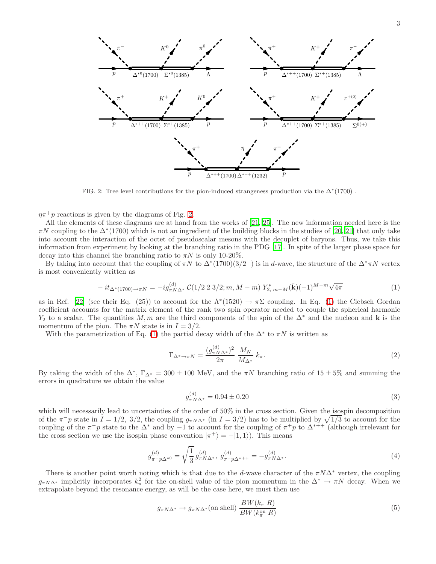

<span id="page-2-0"></span>FIG. 2: Tree level contributions for the pion-induced strangeness production via the  $\Delta^*(1700)$ .

 $\eta \pi^+ p$  reactions is given by the diagrams of Fig. [2.](#page-2-0)

All the elements of these diagrams are at hand from the works of [\[21](#page-10-20), [25](#page-10-24)]. The new information needed here is the  $\pi N$  coupling to the  $\Delta^*(1700)$  which is not an ingredient of the building blocks in the studies of [\[20,](#page-10-19) [21](#page-10-20)] that only take into account the interaction of the octet of pseudoscalar mesons with the decuplet of baryons. Thus, we take this information from experiment by looking at the branching ratio in the PDG [\[17\]](#page-10-16). In spite of the larger phase space for decay into this channel the branching ratio to  $\pi N$  is only 10-20%.

By taking into account that the coupling of  $\pi N$  to  $\Delta^*(1700)(3/2^-)$  is in d-wave, the structure of the  $\Delta^* \pi N$  vertex is most conveniently written as

$$
-it_{\Delta^*(1700)\to\pi N} = -ig_{\pi N\Delta^*}^{(d)} \mathcal{C}(1/2\ 2\ 3/2; m, M-m) Y_{2, m-M}^*(\hat{\mathbf{k}})(-1)^{M-m} \sqrt{4\pi}
$$
(1)

<span id="page-2-1"></span>as in Ref. [\[22\]](#page-10-21) (see their Eq. (25)) to account for the  $\Lambda^*(1520) \to \pi \Sigma$  coupling. In Eq. [\(1\)](#page-2-1) the Clebsch Gordan coefficient accounts for the matrix element of the rank two spin operator needed to couple the spherical harmonic  $Y_2$  to a scalar. The quantities M, m are the third components of the spin of the  $\Delta^*$  and the nucleon and k is the momentum of the pion. The  $\pi N$  state is in  $I = 3/2$ .

With the parametrization of Eq. [\(1\)](#page-2-1) the partial decay width of the  $\Delta^*$  to  $\pi N$  is written as

$$
\Gamma_{\Delta^* \to \pi N} = \frac{(g_{\pi N \Delta^*}^{(d)})^2}{2\pi} \frac{M_N}{M_{\Delta^*}} k_{\pi}.
$$
\n(2)

By taking the width of the  $\Delta^*$ ,  $\Gamma_{\Delta^*} = 300 \pm 100$  MeV, and the  $\pi N$  branching ratio of  $15 \pm 5\%$  and summing the errors in quadrature we obtain the value

<span id="page-2-4"></span>
$$
g_{\pi N\Delta^*}^{(d)} = 0.94 \pm 0.20\tag{3}
$$

which will necessarily lead to uncertainties of the order of 50% in the cross section. Given the isospin decomposition of the  $\pi^- p$  state in  $I = 1/2$ ,  $3/2$ , the coupling  $g_{\pi N\Delta^*}$  (in  $I = 3/2$ ) has to be multiplied by  $\sqrt{1/3}$  to account for the coupling of the  $\pi^- p$  state to the  $\Delta^*$  and by −1 to account for the coupling of  $\pi^+ p$  to  $\Delta^{*++}$  (although irrelevant for the cross section we use the isospin phase convention  $|\pi^+\rangle = -|1,1\rangle$ ). This means

<span id="page-2-2"></span>
$$
g_{\pi^- p \Delta^{*0}}^{(d)} = \sqrt{\frac{1}{3}} \, g_{\pi N \Delta^*}^{(d)}, \, g_{\pi^+ p \Delta^{*++}}^{(d)} = -g_{\pi N \Delta^*}^{(d)}.\tag{4}
$$

There is another point worth noting which is that due to the d-wave character of the  $\pi N\Delta^*$  vertex, the coupling  $g_{\pi N\Delta^*}$  implicitly incorporates  $k_\pi^2$  for the on-shell value of the pion momentum in the  $\Delta^* \to \pi N$  decay. When we extrapolate beyond the resonance energy, as will be the case here, we must then use

<span id="page-2-3"></span>
$$
g_{\pi N\Delta^*} \to g_{\pi N\Delta^*} \text{(on shell)} \frac{BW(k_\pi R)}{BW(k_\pi^{\text{on}} R)} \tag{5}
$$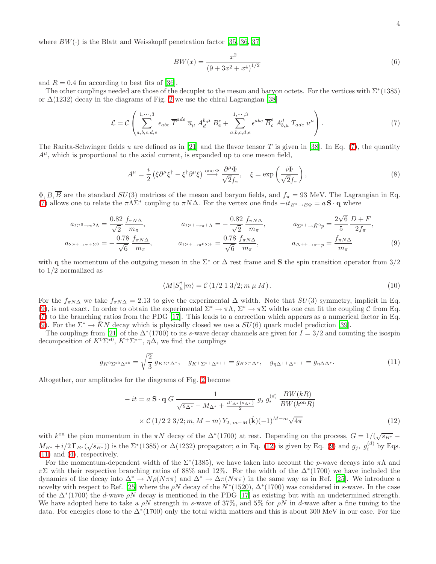where  $BW(\cdot)$  is the Blatt and Weisskopff penetration factor [\[35,](#page-10-34) [36,](#page-10-35) [37\]](#page-10-36)

$$
BW(x) = \frac{x^2}{(9 + 3x^2 + x^4)^{1/2}}
$$
\n(6)

and  $R = 0.4$  fm according to best fits of [\[36](#page-10-35)].

The other couplings needed are those of the decuplet to the meson and baryon octets. For the vertices with  $\Sigma^*(1385)$ or  $\Delta(1232)$  decay in the diagrams of Fig. [2](#page-2-0) we use the chiral Lagrangian [\[38](#page-10-37)]

$$
\mathcal{L} = \mathcal{C} \left( \sum_{a,b,c,d,e}^{1,\cdots,3} \epsilon_{abc} \overline{T}^{ade} \overline{u}_{\mu} A_{d}^{b,\mu} B_{e}^{c} + \sum_{a,b,c,d,e}^{1,\cdots,3} \epsilon^{abc} \overline{B}_{c}^{e} A_{b,\mu}^{d} T_{ade} u^{\mu} \right).
$$
(7)

<span id="page-3-0"></span>The Rarita-Schwinger fields u are defined as in [\[21\]](#page-10-20) and the flavor tensor T is given in [\[38](#page-10-37)]. In Eq. [\(7\)](#page-3-0), the quantity  $A^{\mu}$ , which is proportional to the axial current, is expanded up to one meson field,

$$
A^{\mu} = \frac{i}{2} \left( \xi \partial^{\mu} \xi^{\dagger} - \xi^{\dagger} \partial^{\mu} \xi \right) \stackrel{\text{one } \Phi}{\longrightarrow} \frac{\partial^{\mu} \Phi}{\sqrt{2} f_{\pi}}, \quad \xi = \exp \left( \frac{i \Phi}{\sqrt{2} f_{\pi}} \right), \tag{8}
$$

 $\Phi, B, \overline{B}$  are the standard  $SU(3)$  matrices of the meson and baryon fields, and  $f_{\pi} = 93$  MeV. The Lagrangian in Eq. [\(7\)](#page-3-0) allows one to relate the  $\pi\Lambda\Sigma^*$  coupling to  $\pi N\Delta$ . For the vertex one finds  $-it_{B^*\to B\Phi} = a S \cdot q$  where

$$
a_{\Sigma^{*0}\to\pi^{0}}\Lambda = \frac{0.82}{\sqrt{2}} \frac{f_{\pi N\Delta}}{m_{\pi}}, \qquad a_{\Sigma^{*+}\to\pi^{+}\Lambda} = -\frac{0.82}{\sqrt{2}} \frac{f_{\pi N\Delta}}{m_{\pi}}, \qquad a_{\Sigma^{*+}\to\bar{K}^{0}p} = \frac{2\sqrt{6}}{5} \frac{D+F}{2f_{\pi}},
$$
  

$$
a_{\Sigma^{*+}\to\pi^{+}\Sigma^{0}} = -\frac{0.78}{\sqrt{6}} \frac{f_{\pi N\Delta}}{m_{\pi}}, \qquad a_{\Sigma^{*+}\to\pi^{0}\Sigma^{+}} = \frac{0.78}{\sqrt{6}} \frac{f_{\pi N\Delta}}{m_{\pi}}, \qquad a_{\Delta^{++}\to\pi^{+}p} = \frac{f_{\pi N\Delta}}{m_{\pi}} \qquad (9)
$$

with q the momentum of the outgoing meson in the  $\Sigma^*$  or  $\Delta$  rest frame and S the spin transition operator from 3/2 to 1/2 normalized as

<span id="page-3-1"></span>
$$
\langle M|S^{\dagger}_{\mu}|m\rangle = \mathcal{C}\left(1/2\ 1\ 3/2; m\ \mu\ M\right). \tag{10}
$$

For the  $f_{\pi N\Delta}$  we take  $f_{\pi N\Delta} = 2.13$  to give the experimental  $\Delta$  width. Note that  $SU(3)$  symmetry, implicit in Eq. [\(9\)](#page-3-1), is not exact. In order to obtain the experimental  $\Sigma^* \to \pi \Lambda$ ,  $\Sigma^* \to \pi \Sigma$  widths one can fit the coupling C from Eq. [\(7\)](#page-3-0) to the branching ratios from the PDG [\[17\]](#page-10-16). This leads to a correction which appears as a numerical factor in Eq. [\(9\)](#page-3-1). For the  $\Sigma^* \to KN$  decay which is physically closed we use a  $SU(6)$  quark model prediction [\[39](#page-10-38)].

The couplings from [\[21](#page-10-20)] of the  $\Delta^*(1700)$  to its s-wave decay channels are given for  $I = 3/2$  and counting the isospin decomposition of  $K^0\Sigma^{*0}$ ,  $K^+\Sigma^{*+}$ ,  $\eta\Delta$ , we find the couplings

$$
g_{K^{0}\Sigma^{*0}\Delta^{*0}} = \sqrt{\frac{2}{3}} g_{K\Sigma^{*}\Delta^{*}}, \quad g_{K^{+}\Sigma^{*+}\Delta^{*++}} = g_{K\Sigma^{*}\Delta^{*}}, \quad g_{\eta\Delta^{++}\Delta^{*++}} = g_{\eta\Delta\Delta^{*}}.
$$
 (11)

<span id="page-3-3"></span><span id="page-3-2"></span>Altogether, our amplitudes for the diagrams of Fig. [2](#page-2-0) become

$$
-it = a \mathbf{S} \cdot \mathbf{q} G \frac{1}{\sqrt{s_{\Delta^*}} - M_{\Delta^*} + \frac{i\Gamma_{\Delta^*}(s_{\Delta^*})}{2}} g_j g_i^{(d)} \frac{BW(kR)}{BW(k^{\text{on}}R)}
$$

$$
\times \mathcal{C} (1/2 2 3/2; m, M - m) Y_{2, m-M}(\hat{\mathbf{k}})(-1)^{M-m} \sqrt{4\pi}
$$
(12)

with  $k^{\text{on}}$  the pion momentum in the  $\pi N$  decay of the  $\Delta^*(1700)$  at rest. Depending on the process,  $G = 1/(\sqrt{s_{B^*}} M_{B^*} + i/2 \Gamma_{B^*}(\sqrt{s_{B^*}})$  is the  $\Sigma^*(1385)$  or  $\Delta(1232)$  propagator; a in Eq. [\(12\)](#page-3-2) is given by Eq. [\(9\)](#page-3-1) and  $g_j$ ,  $g_i^{(d)}$  by Eqs. [\(11\)](#page-3-3) and [\(4\)](#page-2-2), respectively.

For the momentum-dependent width of the  $\Sigma^*(1385)$ , we have taken into account the p-wave decays into  $\pi\Lambda$  and  $\pi\Sigma$  with their respective branching ratios of 88% and 12%. For the width of the  $\Delta^*(1700)$  we have included the dynamics of the decay into  $\Delta^* \to N \rho (N \pi \pi)$  and  $\Delta^* \to \Delta \pi (N \pi \pi)$  in the same way as in Ref. [\[25](#page-10-24)]. We introduce a novelty with respect to Ref. [\[25\]](#page-10-24) where the  $\rho N$  decay of the  $N^*(1520)$ ,  $\Delta^*(1700)$  was considered in s-wave. In the case of the  $\Delta^*(1700)$  the d-wave  $\rho N$  decay is mentioned in the PDG [\[17](#page-10-16)] as existing but with an undetermined strength. We have adopted here to take a  $\rho N$  strength in s-wave of 37%, and 5% for  $\rho N$  in d-wave after a fine tuning to the data. For energies close to the ∆<sup>∗</sup> (1700) only the total width matters and this is about 300 MeV in our case. For the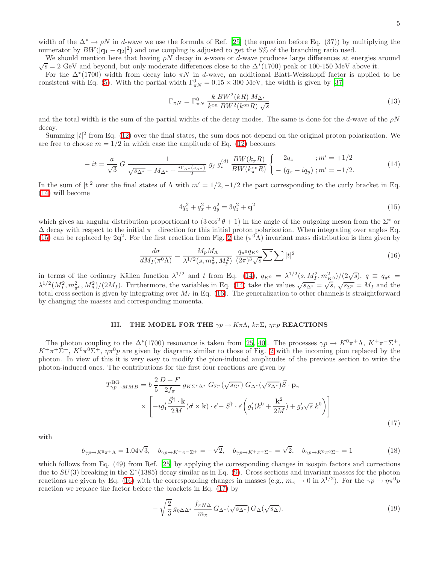We should mention here that having  $\rho N$  decay in s-wave or d-wave produces large differences at energies around  $\sqrt{s} = 2$  GeV and beyond, but only moderate differences close to the  $\Delta^*(1700)$  peak or 100-150 MeV above it.

For the  $\Delta^*(1700)$  width from decay into  $\pi N$  in d-wave, an additional Blatt-Weisskopff factor is applied to be consistent with Eq. [\(5\)](#page-2-3). With the partial width  $\Gamma^0_{\pi N} = 0.15 \times 300$  MeV, the width is given by [\[37\]](#page-10-36)

$$
\Gamma_{\pi N} = \Gamma_{\pi N}^0 \frac{k \, BW^2(kR) \, M_{\Delta^*}}{k^{\text{on}} \, BW^2(k^{\text{on}}R) \sqrt{s}} \tag{13}
$$

and the total width is the sum of the partial widths of the decay modes. The same is done for the  $d$ -wave of the  $\rho N$ decay.

Summing  $|t|^2$  from Eq. [\(12\)](#page-3-2) over the final states, the sum does not depend on the original proton polarization. We are free to choose  $m = 1/2$  in which case the amplitude of Eq. [\(12\)](#page-3-2) becomes

$$
-it = \frac{a}{\sqrt{3}} G \frac{1}{\sqrt{s_{\Delta^*} - M_{\Delta^*} + \frac{i\Gamma_{\Delta^*}(s_{\Delta^*})}{2}}} g_j g_i^{(d)} \frac{BW(k_{\pi}R)}{BW(k_{\pi}^{\text{on}}R)} \begin{cases} 2q_z & ; m' = +1/2 \\ - (q_x + iq_y) ; m' = -1/2. \end{cases}
$$
(14)

<span id="page-4-0"></span>In the sum of  $|t|^2$  over the final states of  $\Lambda$  with  $m' = 1/2, -1/2$  the part corresponding to the curly bracket in Eq. [\(14\)](#page-4-0) will become

$$
4q_z^2 + q_x^2 + q_y^2 = 3q_z^2 + \mathbf{q}^2 \tag{15}
$$

which gives an angular distribution proportional to  $(3\cos^2\theta + 1)$  in the angle of the outgoing meson from the  $\Sigma^*$  or  $\Delta$  decay with respect to the initial  $\pi^-$  direction for this initial proton polarization. When integrating over angles Eq. [\(15\)](#page-4-1) can be replaced by  $2q^2$ . For the first reaction from Fig. [2](#page-2-0) the  $(\pi^0 \Lambda)$  invariant mass distribution is then given by

<span id="page-4-2"></span><span id="page-4-1"></span>
$$
\frac{d\sigma}{dM_I(\pi^0\Lambda)} = \frac{M_p M_\Lambda}{\lambda^{1/2}(s, m_\pi^2, M_p^2)} \frac{q_{\pi^0}q_{K^0}}{(2\pi)^3\sqrt{s}} \overline{\sum} \sum |t|^2 \tag{16}
$$

in terms of the ordinary Källen function  $\lambda^{1/2}$  and t from Eq. [\(14\)](#page-4-0),  $q_{K^0} = \lambda^{1/2}(s, M_I^2, m_{K^0}^2)/(2\sqrt{s})$ ,  $q \equiv q_{\pi^0} =$  $\lambda^{1/2} (M_I^2, m_{\pi^0}^2, M_\Lambda^2)/(2M_I)$ . Furthermore, the variables in Eq. [\(14\)](#page-4-0) take the values  $\sqrt{s_{\Delta^*}} = \sqrt{s}, \sqrt{s_{\Sigma^*}} = M_I$  and the total cross section is given by integrating over  $M_I$  in Eq. [\(16\)](#page-4-2). The generalization to other channels is straightforward by changing the masses and corresponding momenta.

# III. THE MODEL FOR THE  $\gamma p \to K\pi\Lambda$ ,  $k\pi\Sigma$ ,  $\eta\pi p$  REACTIONS

<span id="page-4-3"></span>The photon coupling to the  $\Delta^*(1700)$  resonance is taken from [\[25,](#page-10-24) [40\]](#page-10-39). The processes  $\gamma p \to K^0 \pi^+ \Lambda$ ,  $K^+ \pi^- \Sigma^+$ ,  $K^+\pi^+\Sigma^-$ ,  $K^0\pi^0\Sigma^+$ ,  $\eta\pi^0p$  are given by diagrams similar to those of Fig. [2](#page-2-0) with the incoming pion replaced by the photon. In view of this it is very easy to modify the pion-induced amplitudes of the previous section to write the photon-induced ones. The contributions for the first four reactions are given by

$$
T_{\gamma p \to MMB}^{\text{BG}} = b \frac{2}{5} \frac{D+F}{2f_{\pi}} g_{K\Sigma^*\Delta^*} G_{\Sigma^*} (\sqrt{s_{\Sigma^*}}) G_{\Delta^*} (\sqrt{s_{\Delta^*}}) \vec{S} \cdot \mathbf{p}_{\pi}
$$
  
 
$$
\times \left[ -ig_1' \frac{\vec{S}^{\dagger} \cdot \mathbf{k}}{2M} (\vec{\sigma} \times \mathbf{k}) \cdot \vec{\epsilon} - \vec{S}^{\dagger} \cdot \vec{\epsilon} \left( g_1'(k^0 + \frac{\mathbf{k}^2}{2M}) + g_2' \sqrt{s} k^0 \right) \right]
$$
(17)

with

$$
b_{\gamma p \to K^0 \pi^+ \Lambda} = 1.04\sqrt{3}, \quad b_{\gamma p \to K^+ \pi^- \Sigma^+} = -\sqrt{2}, \quad b_{\gamma p \to K^+ \pi^+ \Sigma^-} = \sqrt{2}, \quad b_{\gamma p \to K^0 \pi^0 \Sigma^+} = 1 \tag{18}
$$

which follows from Eq. (49) from Ref. [\[25\]](#page-10-24) by applying the corresponding changes in isospin factors and corrections due to  $SU(3)$  breaking in the  $\Sigma^*(1385)$  decay similar as in Eq. [\(9\)](#page-3-1). Cross sections and invariant masses for the photon reactions are given by Eq. [\(16\)](#page-4-2) with the corresponding changes in masses (e.g.,  $m_{\pi} \to 0$  in  $\lambda^{1/2}$ ). For the  $\gamma p \to \eta \pi^0 p$ reaction we replace the factor before the brackets in Eq. [\(17\)](#page-4-3) by

$$
-\sqrt{\frac{2}{3}}\,g_{\eta\Delta\Delta^*}\,\frac{f_{\pi N\Delta}}{m_{\pi}}\,G_{\Delta^*}(\sqrt{s_{\Delta^*}})\,G_{\Delta}(\sqrt{s_{\Delta}}). \tag{19}
$$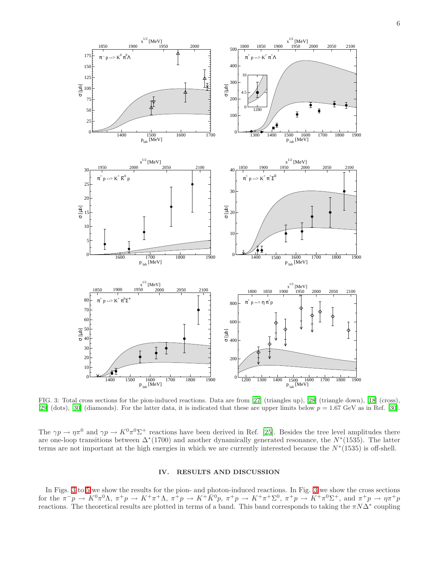

<span id="page-5-0"></span>FIG. 3: Total cross sections for the pion-induced reactions. Data are from [\[27](#page-10-26)] (triangles up), [\[28\]](#page-10-27) (triangle down), [\[18](#page-10-17)] (cross), [\[29\]](#page-10-28) (dots), [\[30\]](#page-10-29) (diamonds). For the latter data, it is indicated that these are upper limits below  $p = 1.67$  GeV as in Ref. [30].

The  $\gamma p \to \eta \pi^0$  and  $\gamma p \to K^0 \pi^0 \Sigma^+$  reactions have been derived in Ref. [\[25\]](#page-10-24). Besides the tree level amplitudes there are one-loop transitions between  $\Delta^*(1700)$  and another dynamically generated resonance, the  $N^*(1535)$ . The latter terms are not important at the high energies in which we are currently interested because the  $N^*(1535)$  is off-shell.

# IV. RESULTS AND DISCUSSION

In Figs. [3](#page-5-0) to [5](#page-7-0) we show the results for the pion- and photon-induced reactions. In Fig. [3](#page-5-0) we show the cross sections for the  $\pi^- p \to K^0 \pi^0 \Lambda$ ,  $\pi^+ p \to K^+ \pi^+ \Lambda$ ,  $\pi^+ p \to K^+ \overline{K}^0 p$ ,  $\pi^+ p \to K^+ \pi^+ \Sigma^0$ ,  $\pi^+ p \to K^+ \pi^0 \Sigma^+$ , and  $\pi^+ p \to \eta \pi^+ p$ reactions. The theoretical results are plotted in terms of a band. This band corresponds to taking the  $\pi N\Delta^*$  coupling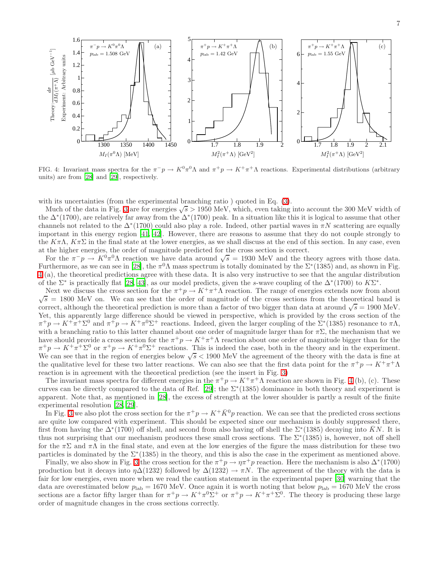

<span id="page-6-0"></span>FIG. 4: Invariant mass spectra for the  $\pi^- p \to K^0 \pi^0 \Lambda$  and  $\pi^+ p \to K^+ \pi^+ \Lambda$  reactions. Experimental distributions (arbitrary units) are from [\[28](#page-10-27)] and [\[29\]](#page-10-28), respectively.

with its uncertainties (from the experimental branching ratio) quoted in Eq.  $(3)$ .

Much of the data in Fig. [3](#page-5-0) are for energies  $\sqrt{s} > 1950$  MeV, which, even taking into account the 300 MeV width of the  $\Delta^*(1700)$ , are relatively far away from the  $\Delta^*(1700)$  peak. In a situation like this it is logical to assume that other channels not related to the  $\Delta^*(1700)$  could also play a role. Indeed, other partial waves in  $\pi N$  scattering are equally important in this energy region [\[41,](#page-10-40) [42](#page-10-41)]. However, there are reasons to assume that they do not couple strongly to the  $K\pi\Lambda$ ,  $K\pi\Sigma$  in the final state at the lower energies, as we shall discuss at the end of this section. In any case, even at the higher energies, the order of magnitude predicted for the cross section is correct.

For the  $\pi^-p \to K^0\pi^0\Lambda$  reaction we have data around  $\sqrt{s} = 1930$  MeV and the theory agrees with those data. Furthermore, as we can see in [\[28](#page-10-27)], the  $\pi^0 \Lambda$  mass spectrum is totally dominated by the  $\Sigma^*(1385)$  and, as shown in Fig. [4](#page-6-0) (a), the theoretical predictions agree with these data. It is also very instructive to see that the angular distribution of the  $\Sigma^*$  is practically flat [\[28](#page-10-27), [43](#page-10-42)], as our model predicts, given the s-wave coupling of the  $\Delta^*(1700)$  to  $K\Sigma^*$ .

Next we discuss the cross section for the  $\pi^+ p \to K^+ \pi^+ \Lambda$  reaction. The range of energies extends now from about  $\sqrt{s}$  = 1800 MeV on. We can see that the order of magnitude of the cross sections from the theoretical band is correct, although the theoretical prediction is more than a factor of two bigger than data at around  $\sqrt{s} = 1900$  MeV. Yet, this apparently large difference should be viewed in perspective, which is provided by the cross section of the  $\pi^+ p \to K^+ \pi^+ \Sigma^0$  and  $\pi^+ p \to K^+ \pi^0 \Sigma^+$  reactions. Indeed, given the larger coupling of the  $\Sigma^* (1385)$  resonance to  $\pi \Lambda$ , with a branching ratio to this latter channel about one order of magnitude larger than for  $\pi\Sigma$ , the mechanism that we have should provide a cross section for the  $\pi^+ p \to K^+ \pi^+ \Lambda$  reaction about one order of magnitude bigger than for the  $\pi^+ p \to K^+ \pi^+ \Sigma^0$  or  $\pi^+ p \to K^+ \pi^0 \Sigma^+$  reactions. This is indeed the case, both in the theory and in the experiment. We can see that in the region of energies below  $\sqrt{s}$  < 1900 MeV the agreement of the theory with the data is fine at the qualitative level for these two latter reactions. We can also see that the first data point for the  $\pi^+p \to K^+\pi^+\Lambda$ reaction is in agreement with the theoretical prediction (see the insert in Fig. [3\)](#page-5-0)

The invariant mass spectra for different energies in the  $\pi^+p \to K^+\pi^+\Lambda$  reaction are shown in Fig. [4](#page-6-0) (b), (c). These curves can be directly compared to the data of Ref. [\[29\]](#page-10-28); the  $\Sigma^*(1385)$  dominance in both theory and experiment is apparent. Note that, as mentioned in [\[28\]](#page-10-27), the excess of strength at the lower shoulder is partly a result of the finite experimental resolution [\[28](#page-10-27), [29](#page-10-28)].

In Fig. [3](#page-5-0) we also plot the cross section for the  $\pi^+ p \to K^+ \bar{K}^0 p$  reaction. We can see that the predicted cross sections are quite low compared with experiment. This should be expected since our mechanism is doubly suppressed there, first from having the  $\Delta^*(1700)$  off shell, and second from also having off shell the  $\Sigma^*(1385)$  decaying into  $\bar{K}N$ . It is thus not surprising that our mechanism produces these small cross sections. The  $\Sigma^*(1385)$  is, however, not off shell for the  $\pi\Sigma$  and  $\pi\Lambda$  in the final state, and even at the low energies of the figure the mass distribution for these two particles is dominated by the  $\Sigma^*(1385)$  in the theory, and this is also the case in the experiment as mentioned above.

Finally, we also show in Fig. [3](#page-5-0) the cross section for the  $\pi^+ p \to \eta \pi^+ p$  reaction. Here the mechanism is also  $\Delta^*(1700)$ production but it decays into  $\eta\Delta(1232)$  followed by  $\Delta(1232) \rightarrow \pi N$ . The agreement of the theory with the data is fair for low energies, even more when we read the caution statement in the experimental paper [\[30\]](#page-10-29) warning that the data are overestimated below  $p_{\text{lab}} = 1670 \text{ MeV}$ . Once again it is worth noting that below  $p_{\text{lab}} = 1670 \text{ MeV}$  the cross sections are a factor fifty larger than for  $\pi^+ p \to K^+ \pi^0 \Sigma^+$  or  $\pi^+ p \to K^+ \pi^+ \Sigma^0$ . The theory is producing these large order of magnitude changes in the cross sections correctly.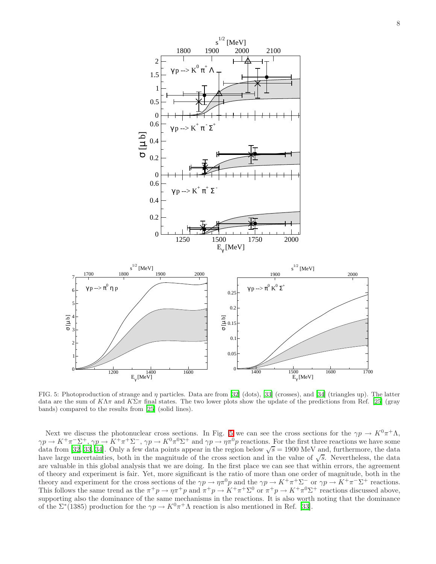

<span id="page-7-0"></span>FIG. 5: Photoproduction of strange and η particles. Data are from [\[32](#page-10-31)] (dots), [\[33](#page-10-32)] (crosses), and [\[34](#page-10-33)] (triangles up). The latter data are the sum of  $K\Lambda\pi$  and  $K\Sigma\pi$  final states. The two lower plots show the update of the predictions from Ref. [\[25](#page-10-24)] (gray bands) compared to the results from [\[25](#page-10-24)] (solid lines).

Next we discuss the photonuclear cross sections. In Fig. [5](#page-7-0) we can see the cross sections for the  $\gamma p \to K^0 \pi^+ \Lambda$ ,  $\gamma p \to K^+\pi^-\Sigma^+$ ,  $\gamma p \to K^+\pi^+\Sigma^-$ ,  $\gamma p \to K^0\pi^0\Sigma^+$  and  $\gamma p \to \eta\pi^0 p$  reactions. For the first three reactions we have some data from [\[32](#page-10-31), [33](#page-10-32), [34\]](#page-10-33). Only a few data points appear in the region below  $\sqrt{s} = 1900$  MeV and, furthermore, the data have large uncertainties, both in the magnitude of the cross section and in the value of  $\sqrt{s}$ . Nevertheless, the data are valuable in this global analysis that we are doing. In the first place we can see that within errors, the agreement of theory and experiment is fair. Yet, more significant is the ratio of more than one order of magnitude, both in the theory and experiment for the cross sections of the  $\gamma p \to \eta \pi^0 p$  and the  $\gamma p \to K^+ \pi^+ \Sigma^-$  or  $\gamma p \to K^+ \pi^- \Sigma^+$  reactions. This follows the same trend as the  $\pi^+p \to \eta \pi^+p$  and  $\pi^+p \to K^+\pi^+\Sigma^0$  or  $\pi^+p \to K^+\pi^0\Sigma^+$  reactions discussed above, supporting also the dominance of the same mechanisms in the reactions. It is also worth noting that the dominance of the  $\Sigma^*(1385)$  production for the  $\gamma p \to K^0 \pi^+ \Lambda$  reaction is also mentioned in Ref. [\[33](#page-10-32)].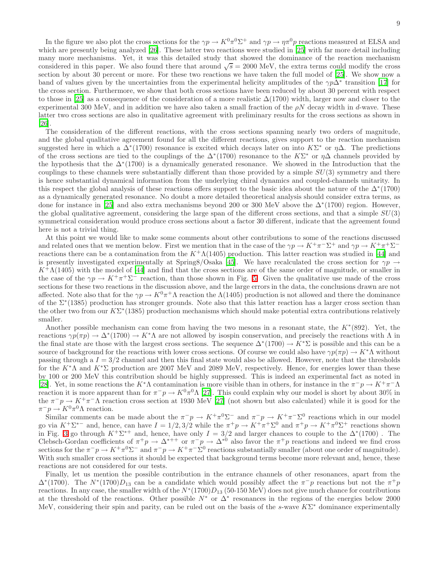In the figure we also plot the cross sections for the  $\gamma p \to K^0 \pi^0 \Sigma^+$  and  $\gamma p \to \eta \pi^0 p$  reactions measured at ELSA and which are presently being analyzed [\[26\]](#page-10-25). These latter two reactions were studied in [\[25\]](#page-10-24) with far more detail including many more mechanisms. Yet, it was this detailed study that showed the dominance of the reaction mechanism considered in this paper. We also found there that around  $\sqrt{s} = 2000 \text{ MeV}$ , the extra terms could modify the cross section by about 30 percent or more. For these two reactions we have taken the full model of [\[25\]](#page-10-24). We show now a band of values given by the uncertainties from the experimental helicity amplitudes of the  $\gamma p\Delta^*$  transition [\[17\]](#page-10-16) for the cross section. Furthermore, we show that both cross sections have been reduced by about 30 percent with respect to those in [\[25\]](#page-10-24) as a consequence of the consideration of a more realistic  $\Delta(1700)$  width, larger now and closer to the experimental 300 MeV, and in addition we have also taken a small fraction of the  $\rho N$  decay width in d-wave. These latter two cross sections are also in qualitative agreement with preliminary results for the cross sections as shown in [\[26\]](#page-10-25).

The consideration of the different reactions, with the cross sections spanning nearly two orders of magnitude, and the global qualitative agreement found for all the different reactions, gives support to the reaction mechanism suggested here in which a  $\Delta^*(1700)$  resonance is excited which decays later on into  $K\Sigma^*$  or  $\eta\Delta$ . The predictions of the cross sections are tied to the couplings of the  $\Delta^*(1700)$  resonance to the  $K\Sigma^*$  or  $\eta\Delta$  channels provided by the hypothesis that the  $\Delta^*(1700)$  is a dynamically generated resonance. We showed in the Introduction that the couplings to these channels were substantially different than those provided by a simple  $SU(3)$  symmetry and there is hence substantial dynamical information from the underlying chiral dynamics and coupled-channels unitarity. In this respect the global analysis of these reactions offers support to the basic idea about the nature of the  $\Delta^*(1700)$ as a dynamically generated resonance. No doubt a more detailed theoretical analysis should consider extra terms, as done for instance in [\[25](#page-10-24)] and also extra mechanisms beyond 200 or 300 MeV above the  $\Delta^*(1700)$  region. However, the global qualitative agreement, considering the large span of the different cross sections, and that a simple  $SU(3)$ symmetrical consideration would produce cross sections about a factor 30 different, indicate that the agreement found here is not a trivial thing.

At this point we would like to make some comments about other contributions to some of the reactions discussed and related ones that we mention below. First we mention that in the case of the  $\gamma p \to K^+\pi^-\Sigma^+$  and  $\gamma p \to K^+\pi^+\Sigma^$ reactions there can be a contamination from the  $K^+\Lambda(1405)$  production. This latter reaction was studied in [\[44](#page-10-43)] and is presently investigated experimentally at Spring8/Osaka [\[45](#page-10-44)]. We have recalculated the cross section for  $\gamma p \to$  $K^+\Lambda(1405)$  with the model of [\[44](#page-10-43)] and find that the cross sections are of the same order of magnitude, or smaller in the case of the  $\gamma p \to K^+\pi^+\Sigma^-$  reaction, than those shown in Fig. [5.](#page-7-0) Given the qualitative use made of the cross sections for these two reactions in the discussion above, and the large errors in the data, the conclusions drawn are not affected. Note also that for the  $\gamma p \to K^0 \pi^+ \Lambda$  reaction the  $\Lambda(1405)$  production is not allowed and there the dominance of the Σ<sup>∗</sup> (1385) production has stronger grounds. Note also that this latter reaction has a larger cross section than the other two from our  $K\Sigma^*(1385)$  production mechanisms which should make potential extra contributions relatively smaller.

Another possible mechanism can come from having the two mesons in a resonant state, the  $K^*(892)$ . Yet, the reactions  $\gamma p(\pi p) \to \Delta^*(1700) \to K^*\Lambda$  are not allowed by isospin conservation, and precisely the reactions with  $\Lambda$  in the final state are those with the largest cross sections. The sequence  $\Delta^*(1700) \to K^*\Sigma$  is possible and this can be a source of background for the reactions with lower cross sections. Of course we could also have  $\gamma p(\pi p) \to K^*\Lambda$  without passing through a  $I = 3/2$  channel and then this final state would also be allowed. However, note that the thresholds for the K<sup>∗</sup>A and  $K^*\Sigma$  production are 2007 MeV and 2089 MeV, respectively. Hence, for energies lower than these by 100 or 200 MeV this contribution should be highly suppressed. This is indeed an experimental fact as noted in [\[28\]](#page-10-27). Yet, in some reactions the K<sup>\*</sup>Λ contamination is more visible than in others, for instance in the  $\pi^-p \to K^+\pi^-\Lambda$ reaction it is more apparent than for  $\pi^-p \to K^0\pi^0\Lambda$  [\[27\]](#page-10-26). This could explain why our model is short by about 30% in the  $\pi^- p \to K^+ \pi^- \Lambda$  reaction cross section at 1930 MeV [\[27\]](#page-10-26) (not shown but also calculated) while it is good for the  $\pi^- p \to K^0 \pi^0 \Lambda$  reaction.

Similar comments can be made about the  $\pi^-p \to K^+\pi^0\Sigma^-$  and  $\pi^-p \to K^+\pi^-\Sigma^0$  reactions which in our model go via  $K^+\Sigma^{*-}$  and, hence, can have  $I = 1/2, 3/2$  while the  $\pi^+p \to K^+\pi^+\Sigma^0$  and  $\pi^+p \to K^+\pi^0\Sigma^+$  reactions shown in Fig. [3](#page-5-0) go through  $K^+\Sigma^{*+}$  and, hence, have only  $I = 3/2$  and larger chances to couple to the  $\Delta^*(1700)$ . The Clebsch-Gordan coefficients of  $\pi^+ p \to \Delta^{*++}$  or  $\pi^- p \to \Delta^{*0}$  also favor the  $\pi^+ p$  reactions and indeed we find cross sections for the  $\pi^-p \to K^+\pi^0\Sigma^-$  and  $\pi^-p \to K^+\pi^-\Sigma^0$  reactions substantially smaller (about one order of magnitude). With such smaller cross sections it should be expected that background terms become more relevant and, hence, these reactions are not considered for our tests.

Finally, let us mention the possible contribution in the entrance channels of other resonances, apart from the  $\Delta^*(1700)$ . The  $N^*(1700)D_{13}$  can be a candidate which would possibly affect the  $\pi^-p$  reactions but not the  $\pi^+p$ reactions. In any case, the smaller width of the  $N^*(1700)D_{13}$  (50-150 MeV) does not give much chance for contributions at the threshold of the reactions. Other possible  $N^*$  or  $\Delta^*$  resonances in the regions of the energies below 2000 MeV, considering their spin and parity, can be ruled out on the basis of the s-wave  $K\Sigma^*$  dominance experimentally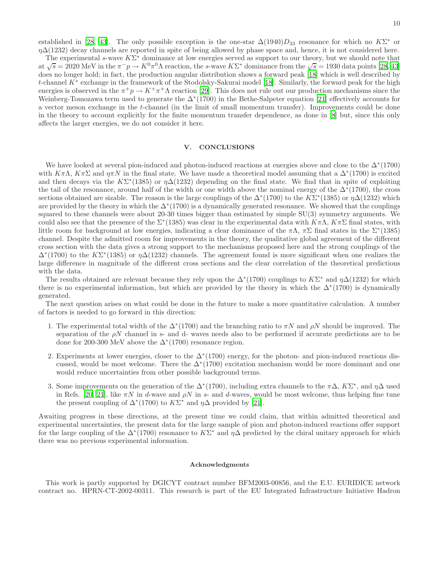established in [\[28](#page-10-27), [43\]](#page-10-42). The only possible exception is the one-star  $\Delta(1940)D_{33}$  resonance for which no  $K\Sigma^*$  or  $\eta\Delta(1232)$  decay channels are reported in spite of being allowed by phase space and, hence, it is not considered here.

The experimental s-wave  $K\Sigma^*$  dominance at low energies served as support to our theory, but we should note that at  $\sqrt{s} = 2020 \text{ MeV}$  in the  $\pi^-p \to K^0 \pi^0 \Lambda$  reaction, the s-wave  $K\Sigma^*$  dominance from the  $\sqrt{s} = 1930$  data points [\[28,](#page-10-27) [43](#page-10-42)] does no longer hold; in fact, the production angular distribution shows a forward peak [\[18](#page-10-17)] which is well described by t-channel K<sup>∗</sup> exchange in the framework of the Stodolsky-Sakurai model [\[18](#page-10-17)]. Similarly, the forward peak for the high energies is observed in the  $\pi^+p \to K^+\pi^+\Lambda$  reaction [\[29](#page-10-28)]. This does not rule out our production mechanisms since the Weinberg-Tomozawa term used to generate the  $\Delta^*(1700)$  in the Bethe-Salpeter equation [\[21\]](#page-10-20) effectively accounts for a vector meson exchange in the t-channel (in the limit of small momentum transfer). Improvements could be done in the theory to account explicitly for the finite momentum transfer dependence, as done in [\[8\]](#page-10-7) but, since this only affects the larger energies, we do not consider it here.

### V. CONCLUSIONS

We have looked at several pion-induced and photon-induced reactions at energies above and close to the  $\Delta^*(1700)$ with  $K\pi\Lambda$ ,  $K\pi\Sigma$  and  $\eta\pi N$  in the final state. We have made a theoretical model assuming that a  $\Delta^*(1700)$  is excited and then decays via the  $K\Sigma^*(1385)$  or  $\eta\Delta(1232)$  depending on the final state. We find that in spite of exploiting the tail of the resonance, around half of the width or one width above the nominal energy of the  $\Delta^*(1700)$ , the cross sections obtained are sizable. The reason is the large couplings of the  $\Delta^*(1700)$  to the  $K\Sigma^*(1385)$  or  $\eta\Delta(1232)$  which are provided by the theory in which the  $\Delta^*(1700)$  is a dynamically generated resonance. We showed that the couplings squared to these channels were about 20-30 times bigger than estimated by simple SU(3) symmetry arguments. We could also see that the presence of the  $\Sigma^*(1385)$  was clear in the experimental data with  $K\pi\Lambda$ ,  $K\pi\Sigma$  final states, with little room for background at low energies, indicating a clear dominance of the  $\pi\Lambda$ ,  $\pi\Sigma$  final states in the  $\Sigma^*(1385)$ channel. Despite the admitted room for improvements in the theory, the qualitative global agreement of the different cross section with the data gives a strong support to the mechanisms proposed here and the strong couplings of the  $\Delta^*(1700)$  to the K $\Sigma^*(1385)$  or  $\eta\Delta(1232)$  channels. The agreement found is more significant when one realizes the large difference in magnitude of the different cross sections and the clear correlation of the theoretical predictions with the data.

The results obtained are relevant because they rely upon the  $\Delta^*(1700)$  couplings to  $K\Sigma^*$  and  $\eta\Delta(1232)$  for which there is no experimental information, but which are provided by the theory in which the  $\Delta^*(1700)$  is dynamically generated.

The next question arises on what could be done in the future to make a more quantitative calculation. A number of factors is needed to go forward in this direction:

- 1. The experimental total width of the  $\Delta^*(1700)$  and the branching ratio to  $\pi N$  and  $\rho N$  should be improved. The separation of the  $\rho N$  channel in s- and d- waves needs also to be performed if accurate predictions are to be done for 200-300 MeV above the  $\Delta^*(1700)$  resonance region.
- 2. Experiments at lower energies, closer to the  $\Delta^*(1700)$  energy, for the photon- and pion-induced reactions discussed, would be most welcome. There the  $\Delta^*(1700)$  excitation mechanism would be more dominant and one would reduce uncertainties from other possible background terms.
- 3. Some improvements on the generation of the  $\Delta^*(1700)$ , including extra channels to the  $\pi\Delta$ ,  $K\Sigma^*$ , and  $\eta\Delta$  used in Refs. [\[20,](#page-10-19) [21](#page-10-20)], like  $\pi N$  in d-wave and  $\rho N$  in s- and d-waves, would be most welcome, thus helping fine tune the present coupling of  $\Delta^*(1700)$  to  $K\Sigma^*$  and  $\eta\Delta$  provided by [\[21](#page-10-20)].

Awaiting progress in these directions, at the present time we could claim, that within admitted theoretical and experimental uncertainties, the present data for the large sample of pion and photon-induced reactions offer support for the large coupling of the  $\Delta^*(1700)$  resonance to  $K\Sigma^*$  and  $\eta\Delta$  predicted by the chiral unitary approach for which there was no previous experimental information.

#### Acknowledgments

This work is partly supported by DGICYT contract number BFM2003-00856, and the E.U. EURIDICE network contract no. HPRN-CT-2002-00311. This research is part of the EU Integrated Infrastructure Initiative Hadron